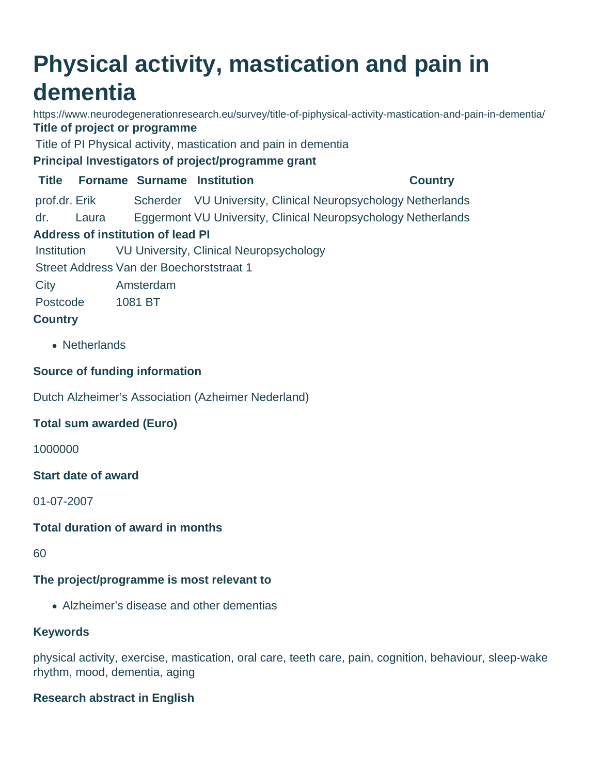# **Physical activity, mastication and pain in dementia**

https://www.neurodegenerationresearch.eu/survey/title-of-piphysical-activity-mastication-and-pain-in-dementia/ **Title of project or programme**

Title of PI Physical activity, mastication and pain in dementia

**Principal Investigators of project/programme grant**

**Title Forname Surname Institution Country** prof.dr. Erik Scherder VU University, Clinical Neuropsychology Netherlands dr. Laura Eggermont VU University, Clinical Neuropsychology Netherlands **Address of institution of lead PI** Institution VU University, Clinical Neuropsychology

Street Address Van der Boechorststraat 1

City Amsterdam

Postcode 1081 BT

# **Country**

• Netherlands

# **Source of funding information**

Dutch Alzheimer's Association (Azheimer Nederland)

# **Total sum awarded (Euro)**

1000000

**Start date of award**

01-07-2007

### **Total duration of award in months**

60

# **The project/programme is most relevant to**

Alzheimer's disease and other dementias

### **Keywords**

physical activity, exercise, mastication, oral care, teeth care, pain, cognition, behaviour, sleep-wake rhythm, mood, dementia, aging

### **Research abstract in English**